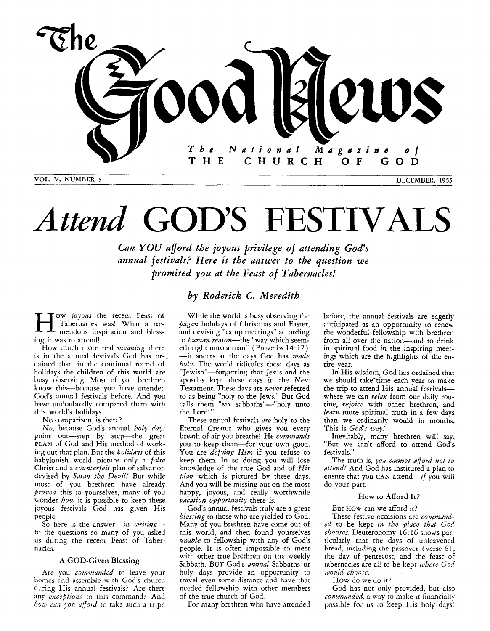

# *Attend* GOD'S FESTIVALS

*Can YOU aford the joyous privilege of attending God's annual festivals? Here is the answer to the question we promised you at the Feast of Tabernacles!* 

### *by Roderick C. Meredith*

**T**OW *joyous* the recent Feast of Tabernacles was! What a tremendous inspiration and blessing it was to attend!

How much more real *meaning* there is in the annual festivals God has ordained than in the continual round of holidays the children of this world are busy observing. Most of you brethren know this-because you have attended God's annual festivals before. And you have undoubtedly compared them with this world's holidays.

No comparison, is there?

*No,* because God's annual *holy days*  point out-step by step-the great **PLAN** of God and His method of working out that plan. But the *holidays* of this babylonish world picture only a *fdse*  Christ and a *counterfeit* plan of salvation devised by *Satan the Devil!* But while most of you brethren have already *proid* this to yourselves, many of you wonder *how* it is possible to keep these joyous festivals God has given His people.

S<sub>2</sub> here is the answer-in *writing*to the questions so many of you asked **US** during the recent Feast of Tabernacles.

### **A** GOD-Given Blessing

Are you *commanded* to leave your homes and assemble with God's church during His annual festivals? Are there any *exceptions* to this command? And *bow can you afford to take such a trip?* 

While the world is busy observing the *Pagan* holidays of Christmas and Easter, and devising "camp meetings" according to *haman reason-the* "way which seemeth right unto a man" (Proverbs 14: 12) -it sneers at the days God has *made holy.* The world ridicules these days as "Jewish"-forgetting that Jesus and the apostles kept these days in the *New*  Testament. These days are *never* referred to as being "holy to the Jews." But God calls them **"MY** sabbaths"-"holy unto the Lord!"

These annual festivals *are* holy to the Eternal Creator who gives you every breath of air you breathe! He *commands*  you to keep them-for your own good. *YOU* are *defying Him* if you refuse to **keep** them. In *so* doing you will lose knowledge of the true God and of *His plan* which is pictured by these days. And you will be missing out on the most happy, joyous, and really worthwhile *vacation opportunity* there is.

God's annual festivals truly are a great *blessing* to those who are yielded to God. Many of you brethren have come out of this world, and then found yourselves *unable* to fellowship with any of God's people. It is often impossible to meet with other true brethren on the weekly Sabbath. BUT God's *annaal* Sabbaths or holy days provide an opportunity to travel even some distance and have that needed fellowship with other members of the true church of God.

For many brethren who have attended

before, the annual festivals are eagerly anticipated as an opportunity to renew the wonderful fellowship with brethren from all over the nation-and to **drink**  in spiritual food in the inspiring meetings which are the highlights of the entire year,

In His wisdom, *God* has ordained that we should take'time each year to make the trip to attend His annual festivalswhere we can *relax* from our daily routine, *rejoice* with other brethren, and *learn* more spiritual truth in a few days than we ordinarily would in months. This is *God's way!* 

Inevitably, many brethren will say, "But we can't afford to attend **God's**  festivals."

The truth is, *yoa cannot afford mot to attend!* And God has instituted a plan to ensure that you CAN attend— $if$  you will do your part.

### How *to* **Afford It?**

But **HOW** can we afford it?

These festive occasions are *commantled* to be kept *in the place that God chooses.* Deuteronomy 16: 16 shows particularly that the days of unleavened hresd, including the passover (verse 6), the day of pentecost, and the feast of tabernacles are all to be kept *where God roodd choose.* 

IIOW do we do it?

God has not only provided, but also *commanded,* a way to make it financially possible for us to keep His holy days!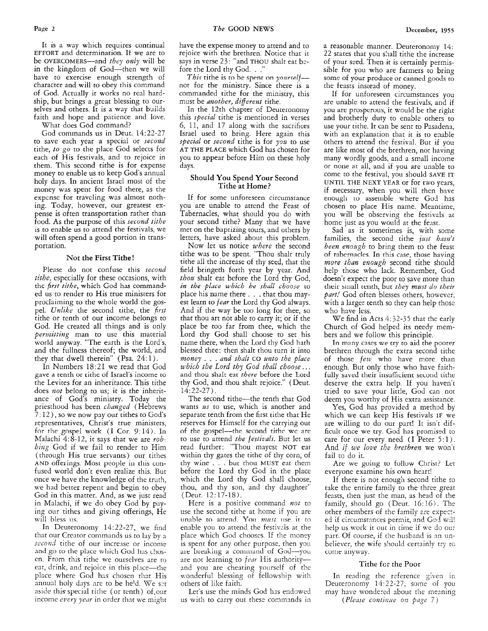It is a way which requires continual EFFORT and determination. If we are to be OVERCOMERS-and they *only* will be in the kingdom of God-then we will have to exercise enough strength of character and will to obey this command of God. Actually it works no real hardship, but brings a great blessing to ourselves and others. It is a way that builds faith and hope and patience and love.

What does God command?

God commands us in Deut. 14:22-27 to save each year a special or *second*  tithe, *to go* to the place God selects for each of His festivals, and to rejoice in them. This second tithe is for expense money to enable us to keep God's annual holy days. In ancient Israel most of the money was spent for food there, as the expense for traveling was almost nothing. Today, however, our greatest expense is often transportation rather than food. As the purpose of this *second tithe*  is to enable us to attend the festivals, we will often spend a good portion in transportation.

### **Not** the First Tithe!

Please do not confuse this *second tithe,* especially for these occasions, with thc *first tithe,* which God has commanded us to render to His true ministers for proclaiming to the whole world the gospel. *Unlike* the second tithe, the *first*  tithe or tenth of our income belongs to God. He created all things and is cnly *permittiug* man to use this material world anyway. "The earth is the Lord's, and the fullness thereof; the world, and they that dwell therein" (Psa.  $24:1$ ).

In Numbers 18:21 we read that God gave a tenth or tithe of Israel's income to the Levites for an inheritance. This tithe does *not* belong to us; it is the inheritance of God's ministry. Today the priesthood has been *changed* (Hebrews 7: 12 ) , so we now pay our tithes to God's representatives, Christ's true ministers, for the gospel work (I Cor. 9:14). In Malachi 4:8-12, it says that we are *robbing* God if we fail to render to Him (through His true servants) our tithes AND offerings. Most people in this confused world don't even realize this. But once we have the knowledge of the truth, we had better repent and begin to obey God in this matter. And, as we just read in Malachi, if we do obey God by paying our tithes and giving offerings, He will bless **11s.** 

In Deuteronomy 14:22-27, we find that our Creator commands us to lay by a second tithe of our increase or income and go to the place which God has chosen. From this tithe we ourselves are to eat, drink, and rejoice in this place—the place where God has chosen that His annual holy days are to be held. We set aside this special tithe (or tenth) of,our income *every year* in order that we might have the expense money to attend and to rejoice with the brethren. Notice that it says in verse 23: "and THOV shalt eat bcfore the Lord thy God. . .'

*This* tithe is to be spent on *yourself* not for the ministry. Since there is a commanded tithe for the ministry, this must be *another, different* tithe.

In the 12th chapter of Deuteronomy this *special* tithe is mentioned in verses 6, 11, and 17 along with the sacrifices Israel used to bring. Here again this *special* or *second* tithe is for you to use **AT** THE **PLACE** which God has chosen for you to appear before Him on these holy days.

### Should **You** Spend Your Second Tithe at Home?

If for some unforeseen circumstance you are unable to attend the Feast of Tabernacles, what should you do with your second tithe? Many that we have met on the baptizing tours, and others by letters, have asked about this problem.

Now let us notice *where* the second tithe was to be spent. "Thou shalt truly tithe all the increase of thy seed, that the field bringeth forth year by year. And *thou* shalt eat before the Lord thy God, *in the place which he shall choose* to place his name there . . . that thou mayest Iearn to *fear* the Lord thy God always. And if the way be too long for thee, so that thou art not able to carry it; or if the place be too far from thee, which the Lord thy God shall choose to set his name there, when the Lord thy God hath blessed thee: then shalt thou turn it into *money* . . . *and shalt* GO *unto the place*  and thou shalt eat *there* before the Lord thy God, and thou shalt rejoice." (Deut. 14:22-27).

The second tithe-the tenth that God wants *us* to use, which is another and separate tenth from the first tithe that He reserves for Himself for the carrying out of the gospel—the second tithe we are to use to attend *the festivals.* But let us read further: "Thou mayest NOT eat within thy gates the tithe of thy corn, of thy wine . . . but thou MUST eat them before the Lord thy God in the place which the Lord thy God shall choose, thou, and thy son, and thy daughter" (Deut. 12:17-15).

Here is a positive command *not* to use the second tithe at home if you are unable to attend. You *must* use it to enable you to attend the fescivzis at the place which God chooses. If the money<br>is spent for any other purpose, then you are breaking a command of God--you are not learning to *fear* His authorityand you are cheating yourself of the wonderful blessing of fellowship with others of like faith.

Let's use the minds God has endowed us with to carry out these commands in a reasonable manner. Deuteronomy 14: 22 states that you shall tithe the increase of your seed. Then it is certainly permissible for you who are farmers to bring some of your produce or canned goods to the feasts insiead of money.

If for unforeseen circumstances you are unable to attend the festivals, and if you are prosperous, it would be the right and brotherly duty to enable others to use your tithe. It can be sent to Pasadena, with an explanation that it is to enable others to attend the festival. But if you are like most of the brethren, not having many wordly goods, and a small income or none at all, and if you are unable to come to the festival, you should SAVE IT UNTIL THE NEXT YEAR or for two years, if necessary, when you will then have enough to asseirible where God has chosen to place His name. Meantime, you will be observing the festivds at home just as you would at the feast.

Sad as it sometimes is, with some families, the second tithe *just hasn't been enough* to bring them to the feast of rahernacles. In this case, those having *more than enough* second tithe should help those who lack. Remember, God doesn't expect the poor to save more than their small tenth, but *they must do their part!* God often blesses others, however, with a larger tenth so they can help those who have less.

We find in Acts *4132-35* that the early Church of God helped its needy members and we follow this principle.

In many cases we try to aid the poorer brethren through the extra second tithe of those *few* who have more than enough. But only those who have faithfully saved their insufficient second tithe deserve the extra help. If you haven't tried to save your little, God can not deem you worthy of His extra assistance.

Yes, God has provided a method by which we can keep His festivals IF we are willing to do our part! It isn't difficult once we try. God has promised to care for our every need (I Peter 5:1). And *if we love the brethren* we won't fail to do it.

Are we going to follow Christ? Let everyone examine his own heart!

If there is not enough second tithe to take the entire family to the three great feasts, then just the man, as head of the family, should go (Deut. 16:lG). The other members of the family are expected if circumstances permit, and God will help us work it out in time if we do our part. Of course, if the husband is an unbeliever, the wife should certainly try to come anyway.

### Tithe fcr the Poor

In reading the reference given in Deuteronomy 14:22-27, some of you may have wondered about the meaning *(Please continue on page 7)*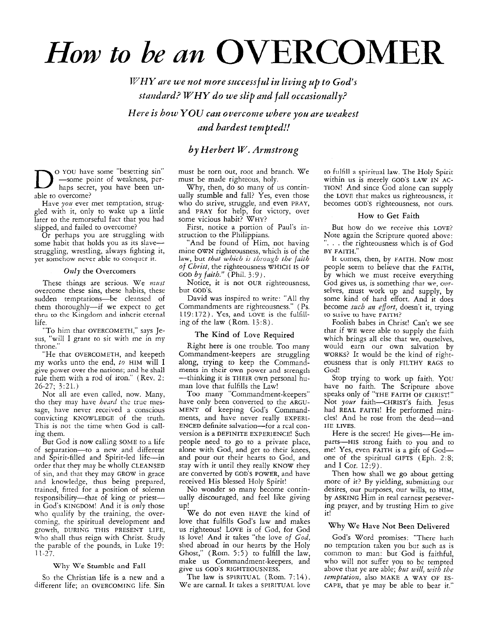## *How to be an* OVERCOMER

*WHY are we not more successful in living up to God's standard? WHY do we slip and fall occasionally? Here is how YOU can overconze where you are weakest and hardest tempted!!* 

*by Herbert W. Armstrong* 

o YOU have some "besetting sin" D -some point of weakness, pcOrhaps secret, you have been unable to overcome?

Have *you* ever met temptation, struggled with it, only to wake up a little later to the remorseful fact that you had slipped, and failed to overcome?

Or perhaps you are struggling with some habit that holds you as its slavestruggling, wrestling, always fighting it, yet somehow never able to conqucr it.

### $Only$  the Overcomers

These things are serious. We must overcome these sins, these habits, these sudden temptations-be cleansed of them thoroughly-if we expect to get thru to thc Kingdom and inhcrit eternal life.

"To him that OVERCOMETH," says Jesus, "will I grant to sir with me in my throne.'

"He that OVERCOMETH, and keepeth my works unto the end, *to* HIM will I give power over the nations; and he shall rule them with a rod of iron." (Rev. 2: 26-27; 3:21.)

Not all are even called, now. Many, tho they may have *heard* the true message, have never received a conscious convicting KNOWLEDGE of the truth. This is not the time when God is calling them.

But God is now calling SOME to a life of separation-to a new and different and Spirit-filled and Spirit-led life-in order that they may be wholly CLEANSED of sin, and that they may GROW in grace and knowledge, thus being prepared, trained, fitted for a position of solemn responsibility-that of king or priestin God's KINGDOM! And it is *only* those who qualify by the training, the overcoming, the spiritual development and growth, DURING THIS PRESENT LIFE, who shall thus reign with Christ. Study the parable of the pounds, in Luke 19: 11-27.

### **Why We Stumble and Fall**

So the Christian life is a new and a different life; an OVERCOMING life. Sin must be torn out, root and branch. We must be made righteous, holy.

Why, then, do so many of us continually stumble and fall? Yes, even those who do strive, struggle, and even PRAY, and PRAY for help, for victory, over some vicious habit? WHY?

First, notice a portion of Paul's instruction to the Philippians.

'And be found of Him, not having mine OWN righteousness, which is of the law, but *that which is through the faith* of *Christ,* the righteousness WHICH IS OF GOD *by faith."* (Phil. 3:9).

Notice, it is not OUR righteousness. but GOD'S.

David was inspired to write: "All thy Commandments are righteousness." ( Ps. 119:172). *Yes,* and LOVE is the fulfilling of the law  $(Rom. 13:8)$ .

### The Kind **of** Love Required

Right here is one trouble. Too many Commandment-keepers are struggling along, trying to keep the Commandments in their own power and strength -thinking it is THEIR own personal human love that fulfills the Law!

Too many "Commandment-keepers" have only been converted to the ARGU-MENT of keeping God's Commandments, and have never really EXPERI-ENCED definite salvation-for a rcal conversion is a DEFINITE EXPERIENCE! Such people need to go to a private place, alone with God, and get to their knees, and pour out their hearts to God, and stay with it until they really KNOW they are converted by GOD'S POWER, and have received His blessed Holy Spirit!

No wonder so many become continually discouraged, and feel like giving up!

We do not even HAVE the kind of love that fulfills God's law and makes us righteous! LOVE is of God, for God **IS** love! And it takes "the love *of God.*  shed abroad in our hearts by the Holy Ghost," (Rom. *5:5)* to fulfill the law, make us Commandment-keepers, and give us GOD'S RIGHTEOUSNESS.

The law is SPIRITUAL (Rom. *7:14).*  We are carnal. It takes a SPIRITUAL love

to fulfill **a** spiritual law. The Holy Spirit within us is merely GOD'S LAW IN AC-TION! And since God alone can supply the LOVE that makes us righteousness, it becomes GOD'S righteousness, not ours.

### How to Get Faith

But how do we receive this LOVE? Note again the Scripture quoted above: ... the righteousness which is of God BY FAITH."

It comes, then, by FAITH. Now most people seem to believe that the FAITH, by which we must receive everything God gives us, is somerhing that **we,** ourselves, must work up and supply, by some kind of hard effort. And it does become *szccb an effort,* doesn't it, trying to strive **tu** have **FAITH?** 

Foolish babes in Christ! Can't we see that if WE were able to supply the faith which brings all else that we, ourselves, would earn our own salvation by WORKS? It would be the kind of righteousness that is only FILTHY RAGS to God!

Stop trying to work up faith. YOU have no faith. The Scripture above speaks only of "THE FAITH OF CHRIST!" Not *your* faith-cHRIST'S faith. Jesus had REAL FAITH! He performed miracles! And he rose from the dead-and **IIE** LIVES.

Here is the secret! He gives-He imparts-HIS strong faith to you and to me! Yes, even FAITH is a gift of Godone of the spiritual GIFTS (Eph. 2:s; and I Cor. 12:9).

Then how shall we go about getting more of it? By yielding, submitting our desires, our purposes, our wills, to HIM, by ASKING Him in real earnest persevering prayer, and by trusting Him to give it!

### Why We Have Not Been Delivered

God's Word promises: "There hath no temptation taken you but such as is common to man: but God is faithful, who will not suffer you to be tempted above that ye are able; *but will, with the temptation, also* MAKE A WAY OF ES-CAPE, that ye may be able to bear it."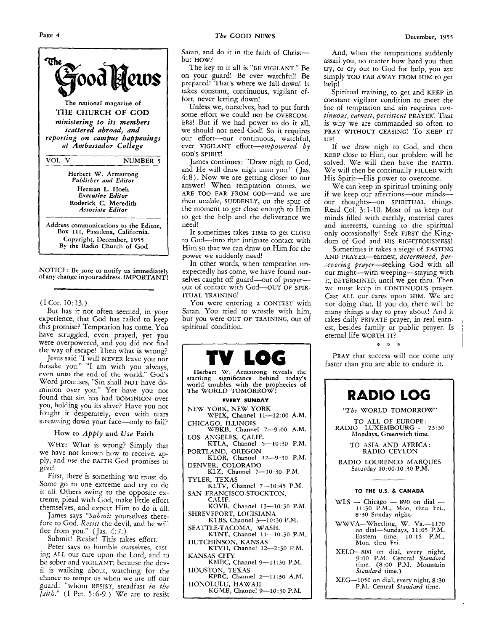

NOTICE : Be sure to notify **us** immediately of any change in youraddress. IMPORTANT!

### $(I Cor. 10:13.)$

But has it not often seemed, in your experience, that God has failed to keep this promise? Temptation has come. You have struggled, even prayed, yet you were overpowered, and you did **not** find the way of escape! Then what is wrong?

Jesus said "I will NEVER leave you nor forsake you." "I am with you always, even unto the end of thc world." Gud's Word promises, "Sin shall NOT have dominion over you." Yet have you not found that sin has had DOMINION over you, holding you its slave? Have you not fought it desperately, even with tears streaming down your face-only to fail?

### How to *Apply* and Use Faith

WHY? What is wrong? Simply that we have not known how to receive, apply, and **use** the FAITH God promises to give!

First, there is something WE must do. Some go to one extreme and try to do it all. Others swing to the opposite extreme, plead with God, make little effort themselves, and expect Him to do it all.

James says "Submit yourselves therefore to God. Resist the devil, and he will flee from you." (Jas. *4:7.)* 

Submit! Resist! This takes effort.

Peter says to humble ourselves, cast ing ALL our care upon the Lord, and to be sober and VIGILANT; because the devil is walking about, wntching for the chance to tempt **us when** we are *off ox*  guard: "whom RESIST, steadfast in the *faith."* (I Pet. 5:6-9.) We are to resist Saran, and do it in the faith of Christbut HOW?

The key to it all is 'BE VIGILANT." Be on your guard! Be ever watchful! Be prepared! That's where we fall down! It takes constant, continuous, vigilant effort, never letting down!

Unless we, ourselves, had to put forth some effort we could not be OVERCOM-ERS! But if we had power to do it all, we should not need God! So it requires our effort-our continuous, watchful, ever VIGILANT effort-empowered by GOD'S SPIRIT!

James continues: "Draw nigh to God, and He will draw nigh unto you." (Jas. *4:* 8). Now we are getting closer to our answer! When temptation comes, we ARE TOO FAR FROM GOD-and we are then unable, SUDDENLY, on the spur of the moment to get close enough to Him to get the help and the deliverance we need!

It sometimes takes TIME to get CLOSE to God-into that intimate contact with Him so that we can draw on Him for the power we suddenly need!

In other words, when temptation unexpectedly has come, we have found ourselves caught off guard-out of prayerout of contact with God-OUT OF SPIR-ITUAL TRAINING!

You were entering a CONTEST with Satan. *You* tried to wrestle with him, but you were OUT OF TRAINING, out of spiritual condition.



Herbert **\XI.** Armstrong rcveals the startling significance behind today's world troubles with the prophecies **of**  The WORLD TOMORROW!

### **EVERY SUNDAY**

NEW **YORK,** NEW YORK CHICAGO, ILLINOIS WIX, Channel **11-12:OO A.M.** 

- LOS ANGELES, CALIF. WBKB, **Channel** 7-9:00 **A.M.**
- PORTLAND, OREGON KLOR, Channel *12-9:30* P.M. KTLA, Channel **5-10:30** P.M.
- DENVER, COLORADO
- TYLER, TEXAS KLZ, Channel 7--10:30 P.M.
- SAN FRANCISCO-STOCKTON, RLTV, Channel *7--10:45* P.M.
- CALIF. KOVR, Channel 13-10:30 P.M. SHREVEPORT, LOUISIANA
- KTBS, Channel 3-10:30 P.M.
- KTNT, Channel **11-10:30** P.M. SEATTLE-TACOMA, WASH.
- HUTCHINSON, KANSAS

KANSAS CITY KTVH, Channel 12-2:30 P.M.

KMBC, Channel 9-11:30 P.M.

HOUSTON, TEXAS **KPRC, Channel 2-1 1** *:30* **A.M.**  HONOLULU, HAWAII

KGMB, Channel 9-10:30 P.M.

And, when the temptations suddenly assail you, no matter how hard you then try, or cry out to God for help, you are simply TOO FAR AWAY FROM HIM to get help!

Spiritual training, to get and **KEEP** in constant vigilant condition to meet the foe of temptation and sin requires con*tingous,* earnest, perristent PRAYER! That **is** why we are commanded so often to PRAY WITHOUT CEASING! *To* KEEP IT **UP!** 

If we draw nigh to God, and then KEEP close to Him, our problem will be solved. We will then have the FAITH. We will then be continually FILLED with His Spirit-His power to overcome.

We can keep in spiritual training only if we keep our affections-our mindsour thoughts-on SPIRITUAL things. Read Col. 3:l-10. Most of us keep our minds filled with earthly, material cares and interests, turning to **the** spiritual only occasionally! Seek FIRST the Kingdom of God and HIS RIGHTEOUSNESS!

Sometimes it takes a siege of FASTING **AND** PRAYER-earnest, determined, persevering prayer-seeking God with all our might-with weeping-staying with it, DETERMINED, until we get thru. Then we must keep in CONTINUOUS prayer. Cast ALL our cares upon HIM. We are not doing that, If you do, there will be many things **a** day *to* pray **about!** And it takes daily PRIVATE prayer, in real earnest, besides family or public prayer. Is eternal life WORTH IT?

**L** "' \*.

PRAY that success will nor come any faster than you are able to endure it.

## RADIO LOG

"The WORLD TOMORROW"

TO ALL OF EUROPE:<br>RADIO LUXEMBOURG --- 23:30<br>Mondays, Greenwich time. Mondays, Greenwich time.

TO ASIA AND AFRICA: RADIO CEYLON

RADIO LOURENCO MARQUES Saturday 10:00-10:30 P.M.

#### I I **TO THE US.** *8,* **CANADA**

WLS  $-$  Chicago  $-$  890 on dial  $-$  11:30 P.M., Mon. thru Fri., **8.30** Sunday night.

 $\mathbf{I}$ 

- WWVA-Wheeling, W. Va.-1170 on dial-Sundays, **11** :05 P.M. Eastern time. 10:15 P.M., Mon. thru Fri
- **XELO-800** on dial, every night, 9:00 P.M. Central *Standard*<br>time. (8:00 P.M. Mountain Standard time.)
- XEG-1050 on dial, every night, *8:30*  P.M. Central *Standard* time.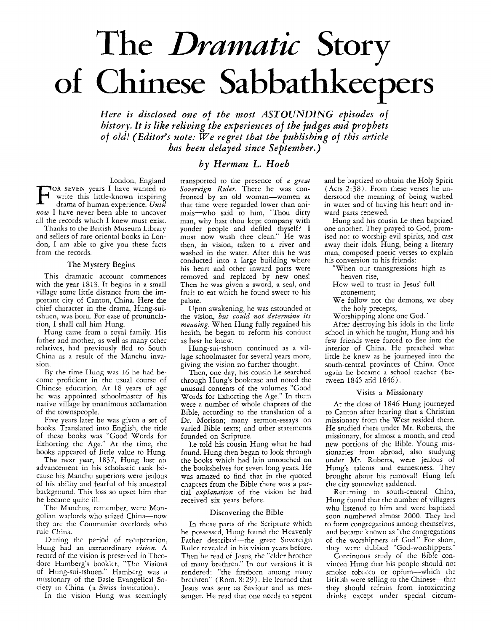# The *Dramatic* Story **of** Chinese Sabbathkeepers

*Here is disclosed one of the most ASTOUNDlNG episodes of history. It is like reliving the experiences of the judges and prophets*  of *old! (Editor's note: We regret that the publishing of this article has been delayed since September.)* 

### *by Herman L. Hoeh*

London, England<br>TOR SEVEN years I have wanted to write this little-known inspiring drama of human experience. *Until now* I have never been able to uncover all the records which I knew must exist.

Thanks to the British Museum Library and sellers of rare oriental books in London, I am able to give you these facts from the records.

### The Mystery Begins

This dramatic account commences with the year 1813. It begins in a small village some little distance from the important city of Canton, China. Here the chief character in the drama, Hung-suitshuen, was boin. For **ease** of prununciation, I shall call him Hung.

Hung came from a royal family. His father and mother, as well as many other relatives, had previously fled to South China as a result of the Manchu invasion.

By the time Hung was 16 he had become proficient in the usual course of Chinese education. At 18 years of age he was appointed schoolmaster of his native village by unanimous acclamation of the townspeople.

Five years later he was given a set of books. Translated into English, the title of these books **was** "Good Words for Exhorting the Age." At the time, the books appeared of little value to Hung.

The next year, 1837, Hung lost an advancement in his scholastic rank because his Manchu superiors were jealous of his ability and fearful of his ancestral background. This loss so upset him that he became quite ill.

The Manchus, remember, were Mongolian warlords who seized China-now they are the Communist overlords who rule China.

During the period of recuperation, Hung had an extraordinary *vision*. A record of the vision is preserved in Theodore Hamberg's booklet, "The Visions of Hung-sui-tshuen." Hamberg was a missionary of the Basle Evangelical Society to China (a Swiss institution).

In the vision Hung was seemingly

transported to the presence of *a great Sovereign Ruler.* There he was confronted by an old woman-women at that time were regarded lower than animals-who said to him, "Thou dirty man, why hast thou kept company with yonder people and defiled thyself? I must now wash thee clean." He was then, in vision, taken to a river and washed in the water. After this he was conducted into a large building where his heart and other inward parts were removed and replaced by new ones! Then he was given a sword, a seal, and fruit to eat which he found sweet to his palate.

Upon awakening, he was astounded at the vision, *but could not determine its meaning.* When Hung fully regained his health, he began to reform his conduct as best he knew.

Hung-sui-tshuen continued as a village schoolmaster for several years more, giving the vision no further thought.

Then, one day, his cousin Le searched through Hung's bookcase and noted the unusual contents of the volumes "Good Words for Exhorting the Age." In them were a number of whole chapters of the Bible, according to the translation of a Dr. Morison; many sermon-essays on varied Bible texts; and other statements founded on Scripture.

Le told his cousin Hung what he had found. Hung then began to look through the books which had lain untouched on the bookshelves for seven long years. He was amazed to find that in the quoted chapters from the Bible there was a partial *explanation* of the vision he had received six years before.

### Discovering the Bible

In those parts of the Scripture which he possessed, Hung found the Heavenly Father described-the great Sovereign Rulcr revealed in his vision years before. Then he read of Jesus, the "elder brother of many brethren." In our versions it is rendered: "the firstborn among many brethren" (Koni. S: *29).* He learned that Jesus was sent as Saviour and as messenger. He read that one needs to repent

and be baptized to obtain the Holy Spirit (Acts  $2:38$ ). From these verses he understood the meaning of being washed in water and of having his heart and inward parts renewed.

Hung and his cousin Le then baptized one another. They prayed to God, promised not to worship evil spirits, and cast away their idols. Hung, being a literary man, composed poetic verses to explain his conversion to his friends:

"When our transgressions high as heaven rise,

How well to trust in Jesus' full atonement;

We follow not the demons, we obey the holy precepts,

Worshipping alone one God."

After destroying his idols in the little school in which he taught, Hung and his few friends were forced to flee into the interior of China. He preached what little he knew as he journeyed into the south-central provinces of China. Once again he becarnc a school teachcr (between 1845 arid *1546).* 

### Visits a Missionary

At the close of *1846* Hung journeyed to Canton after hearing that a Christian missionary from the West resided there. He studied there under Mr. Roberts, the missionary, for almost a month, and read new portions of the Bible. Young missionaries from abroad, also studying under Mr. Roberts, were jealous of Hung's talents and earnestness. They brought about his removal! Hung left the city somewhat saddened.

Returning to south-central China, Hung found that the number of villagers who listened to him and were baptized soon numbered almost *2000.* They hnd to form congregations among themselves, and became known as "the congregations of the worshippers of God." For short, they were dubbed "God-worshippers."

Continuous study of the Bib!e convinced Hung that his people should not smoke tobacco or opium-which the British were selling to the Chinese-that they should refrain from intoxicating drinks except under special circum-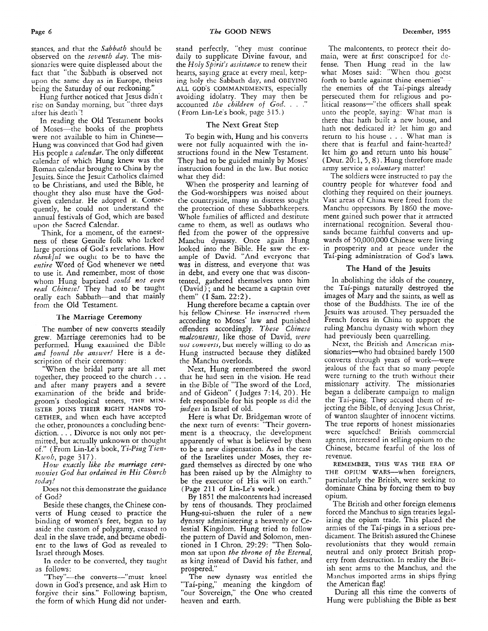stances, and that the *Sabbath* should be observed on the *seventh duy.* The missionaries were quite displeased about the fact that "the Sabbath is observed not upon thc samc day as in Europe, theirs being the Saturday of our reckoning."

Hung further noticed that Jesus didn't ris: on Sunday morning, but "three days after his death"!

In reading the Old Testament books of Moses-the books of the prophets were not available to him in Chinese-Hung was convinced that God had given His people a *calendar.* The only different calendar of which Hung knew was the Roman calendar brought to China by the Jesuits. Since the Jesuit Catholics claimed to be Christians, and used the Bible, he thought they also must have the Godgiven calendar. He adopted It. Consequently, he could not understand the annual festivals of God, which are based upon the Sacred Calendar.

Think, for a moment, of the earnestness of these Gentile folk who lacked large portions of God's revelations. How *tkarskjul* we oughc to be to havc the *entire* Word of God whenever we need to use it. And remember, most of those whom Hung baptized could not even read Chinese! They had to be taught orally each Sabbath-and that mainly from the Old Testament.

### 'lhe Marriage Ceremony

The number of new converts steadily grew. Marriage ceremonies had to be performed. Hung examined the Bible and found the answer! Here is a description of their ceremony:

"When the bridal party are all met together, they proceed to the church . . . and after many prayers and a severe examination of the bride and bridegroom's theological tenets, **THF** MTN-GETHER, and when each have accepted the other, pronounces a concluding benediction. . . . Divorce is not only not permitted, but actually unknown or thought of." (From Lin-Le's book, *Ti-Ping Tien-Ki~oh,* page 317). ISTER JOINS THEIR RIGHT HANDS TO-

*How exactly like the marriage ceremonies God has ordained in His Church today!* 

Does not this demonstrate the guidance of God?

Beside these changes, the Chinese converts of Hung ceased to practice the binding of women's feet, began to lay aside the custom of polygamy, ceased to deal in the slave trade, and became obedient to the laws of God as revealed to Israel through Moses.

In order to be converted, they taught as follows:

"They"-the converts--"must kneel down in God's presence, and ask Him to forgive their sins." Following baptism, the form of which Hung did not understand perfectly. "they must continue daily to supplicate Divine favour, and the *Holy Spzrrit's assistance* to renew their hearts, saying grace at every meal, keeping holy thc Sabbath day, nnd OBEYING ALL **GOD'S** COMMANDMENTS, especially avoiding idolatry. They may then be accounted the *children* of God. . . . (From Lin-Le s book, page 315.)

### The Next Great Step

To begin with, Hung and his converts were not fully acquainted with the instructions found in the New Testament. They had to be guided mainly by Moses' instruction found in thc law. But notice what they did:

When the prosperity and learning of the God-worshippers was noised aboui the countryside, many in distress sought the protection of these Sabbathkeepers. Whole families of afflicted and destitute came to them, as well as outlaws who fled from the power of the oppressive Manchu dynasty. Once again Hung looked into the Bible. He saw the example of David. "And evcryonc that **was** in distress, and everyone that was in debt, and every one that was discontented, gathered themselves unto him (David) ; and he became a captain over them" (I Sam. 22:2).

Hung therefore became a captain over his fellow **Chinese** He instnicted them according to Moses' law and punished offenders accordingly. *These Chinese malcontents,* like those of David, *were not converts*, but merely willing to do as Hung instructed because they disliked the Manchu overlords.

Next, Hung remembered the sword that he had seen in the vision. He read in the Bible of "The sword of the Lord, and of Gideon" (Judges *7:14,* 20). He felt responsible for his people as did the *judges* in Israel of old.

Here is what Dr. Bridgeman wrote of the next turn of events: "Their government is a theocracy, the development apparently of what is believed by them to be a new dispensation. As in the case of the Israelites under Moses, they regard themselves as directed by one who has been raised **up** by the Almighty to be the executor of His will on earth." **(Page 211** of Lin-Le's work.)

By 1851 the malcontents had increased by tens of thousands. They proclaimed Hung-sui-tshuen the ruler of a new dynasty administering a heavenly or Celestial Kingdom. Hung tried to follow the pattern of David and Solomon, mentioned in I Chron. 29:29: "Then Solomon sat upon *the throne of the Eternal,*  as king instead of David his father, and prospered."

The new dynasty **was** entitled the "Tai-ping," meaning the kingdom of "our Sovereign," the One who created heaven and earth,

The malcontents, to protect their domain, were at first conscripted for defense. Then Hung read in the law what Moses said: "When thou goest forth to battle against thine enemies" the enemies of the Tai-pings already persecuted them for religious and political reasons-"the officers shall speak unto the peop!e, saying: What man is there that hath built a new house, and hath not dedicated it? let him go and return to his house . . . What man is there that is fearful and faint-hearted? let him go and return unto his house" (Deut. 20: 1, *5,8).* Hung therefore made army service **a** *volantary* matter!

The soldiers were instructed to pay the country people for whatever food and clothing they required on their journeys. Vast areas of China were freed from the Manchu oppressors. By 1860 the movement gained such power that it attracted international recognition. Several thousands became faithful converts and upwards of 50,000,000 Chinese were living in prosperity and at peace under the Tai-ping administration of God's **laws.** 

### The Hand **of** the Jesuits

In abolishing the idols of the country, the Tai-pings naturally destroyed the images of Mary and the saints, as well **as**  those of the Buddhists. The ire of the Jesuits was aroused. They persuaded the French forces in China to support the ruling Manchu dynasty with whom they had previously been quarrelling.

Next, the British and Amcrican missionaries-who had obtained barely 1500 converts through years of work-were jealous of the fact that so many people were turning to the truth without their missionary activity. The missionaries began a deliberate campaign to malign the Tai-ping. They sccused them of rejecting the Bible, of denying Jesus Christ, of wanton slaughter of innocent victims. The true reports of honest missionaries were squelched! British commercial agents, interested in selling opium to the Chinese, became fearful of the loss of revenue.

THE OPIUM WARS--when foreigners, particularly the British, were seeking to dominate China by forcing them to buy opium. REMEMBER, THIS **WAS** THE ERA OF

The British and other foreign elements forced the Manchus to sign treaties legalizing the opium trade. This placed the armies of the Tai-pings in a serious predicament. The British assured the Chinese revolutionists that they would remain neutral and only protect British property from destruction. In reality the British sent arms to the Manchus, and the Manchus imported arms in ships flying the American flag!

During all this time the converts of Hung were publishing the Bible as best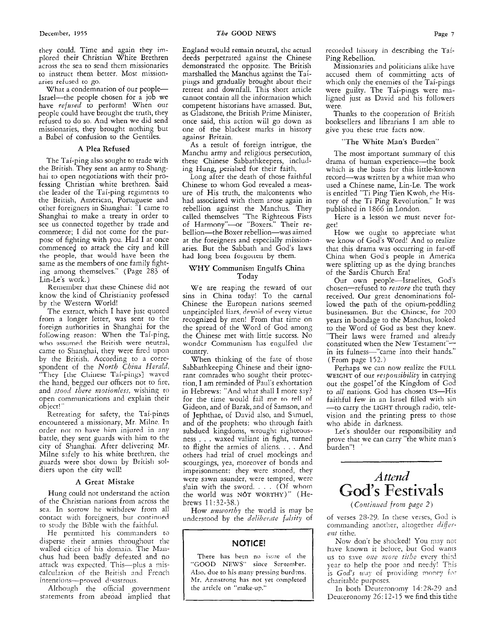they could. Time and again they implored their Christian White Brethren across the sea to send them missionaries to instruct them better. Most missionnries refused to *go.* 

What a condemnation of our people-Israel-the people chosen for a job we have *refused* to perform! When our people could have brought the truth, they refused to do so. And when we did send missionaries, they brought nothing but a Babel of confusion to the Gentiles.

### **A Plea** Refused

The Tai-ping also sought to trade with the British. They sent an army to Shanghai to open negotiations with their professing Christian white brethren. Said the leader of the Tai-ping regiments to the British, American, Portuguese and other foreigners in Shanghai: "I came io Shanghai to make a treaty in order to see us connected together by trade and commerce; I did not come for the purpose of fighting with you. Had I at once commenced to attack the city and kill the people, that would have been the same as the members of one family fighting among themselves." (Page 283 of Lin-Le's work.)

Rernernber that these Chinese did not know the kind of Christianity professed by the Western World!

The extract, which I have just quoted from a longer letter, was sent to the foreign authorities in Shanghai for the foliowing reason: When the Tai-ping, who assumed the British were neutral, came to Shanghai, they were fired upon by the British. According to a correspondent of the *North Cbiizn Herald,*  "They [die Cliiriese Tai-pings] waved [he hand, begged our officers not to fire, and *stood there motionless*, wishing to open communications and explain their object! ''

Retreating for safety, the Tai-pinqs encountered a missionary, Mr. Milne. In order not *to* have him injured in any battle, they sent guards with him to the city of Shanghai. After delivering Mr. Milne sifely to his white brethren, the guards were shot down by British soldiers upon the city wall!

### **A** Great Mistake

Hung could not understand the action of the Christian nations from across the sea. In sorrow he withdrew from all contact with foreigners, bur continued to study the Bible with the faithful.

He permitted his commanders to disperse their armies throughout the walled citics of his domain. The Manchus had been badly defeated and no attack was expected. This-plus a miscalculation of the British and French intentions-proved disastrous.

Although the official government statements from abroad implied that England would remain neutral, the actual deeds perpetrated against the Chinese demonstrated the opposite. The British marshalled the Manchus against the Taipings and gradually brought about their retreat and downfali. This short article cannot contain all the information which competent historians have amassed. But, as Gladstone, the British Prime Minister, once said, this action wiil go down as one of the blackest marks in history against Britain.

As a result of foreign intrigue, the Manchu army and religious persecution, these Chinese Sabbathkeepers, including Hung, perished for their faith.

Long after the death of those faithful Chinese to whom *God* revealed a measure of His truth, the malcontents who had associated with them arose again in rebellion against the Manchus. They called themselves "The Righteous Fists of Harmony"-or "Boxers." Their rebellion-the Boxer rebellion-was aimed at the foreigners and especially missionaries. But the Sabbath and God's laws had long been forgotten by them.

### WHY Communism Engulfs China Today

We are reaping the reward of our sins in China today! To the carnal Chinese the European nations seemed unpxincipled liars, devoid of every virtue recognized by men! From that time on the spread of the Word of God among the Chinese met with little success. No wonder Communism has engulfed the country.

When thinking of the fate of those Sabbathkeeping Chinese and their ignorant comrades who sought their protection, I am reminded of Paul's exhortation in Hebrews: "And what shall I more say? for the time would fail me to tell of Gideon, and of Barak, and of Samson, and of Jephthae, of David also, and Smuel, and of the prophets: who through faith subdued kingdoms, wrought righteousness . . . waxed valiant in fight, turned to flight the armies of aliens. . . . And others had trial of cruel mockings and scourgings, yea, moreover of bonds and imprisonment: they were stoned, they were sawn asunder, were tempted, were slain with the sword. . . . *(Of* whom the world was NOT WORTHY)" (Hebrews 11 : *32-38.)* 

How *mtuorthy* the world is may be undcrstood by the *deliberirte fulsity* of

### **NOTICE!**

There has been no issue of the "GOOD NEWS" since September. Also, due to his many pressing burdens, Mr. Armstrong has nor yet completed the article on "make-up."  $\mathbf{I}$ 

recordcd liistury in describing the Tai-Ping Rebellion.

Missionaries and politicians alike have accused them of committing acts of which only the enemies of the Tai-pings were guilty. The Tai-pings were maligned just as David and his followers were.

Thanks to the cooperation of British booksellers and librarians I am able to give you these true facts now.

### **"The** White Man's Burden"

The most important summary of this drama of human experience-the book which is the basis for this little-known record-was written by a white man who used a Chinese name, Lin-Le. The work is entitled "Ti Ping Tien Kwoh, rhe History of the Ti Ping Revolution." It was published in 1866 in London.

Here is a lesson we must never forget!

How we ought to appreciate what we know of God's Word! And to realize that this drama was occurring in far-off China when God's people in America were splitting up as the dying branches of the Sardis Church Era!

Our own people-Israelites, God's chosen-refused to *restore* the truth they received. Our great denominations followed the path of the opium-peddling businessmen. But thc Chincsc, for 200 years in bondage to the Manchus, looked to the Word of God as best they knew. "Their laws were framed and already constituted when the New Testament" in its fulness-"came into their hands." (From page 152.)

Perhaps we can now realize the FULL WEIGHT of our *responsibility* in carrying out the gospel'of the Kingdom of God to *all* nations. God has chosen US-His faithful few in an Israel filled with sin -to carry the LIGHT through radio, television and the printing press to those who abide in darkness.

Let's shoulder our responsibility and prove that we can carry "the white man's burden"! '



( *Contimed from page 2* 1

of verses *25-29.* In these verses, God ib commanding another, altogether *differe?zt* tithe.

Now don't be shocked! You may not have known it before, but God wants us to save *one more tithe* every third year to help the poor and needy! This is God's way of providing money for charitab!e puiposes.

In both Deuteronomy *14: 28-29* and Deuteronomy  $26:12-15$  we find this tithe